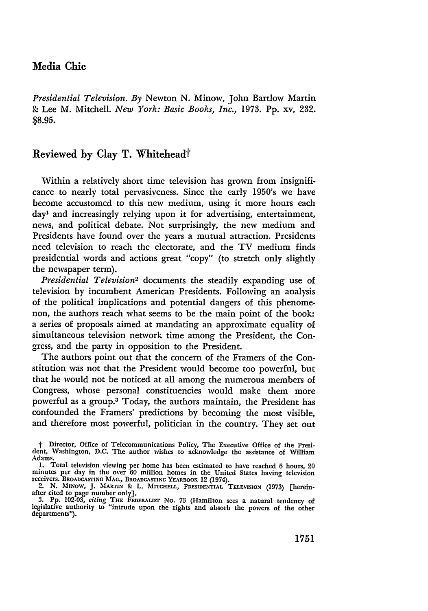## Media Chic

*Presidential Television. By* Newton N. Minow, John Bartlow Martin & Lee M. Mitchell. *New York: Basic Books, Inc.,* 1973. Pp. xv, 232. \$8.95.

## Reviewed **by** Clay T. Whiteheadt

Within a relatively short time television has grown from insignificance to nearly total pervasiveness. Since the early 1950's we have become accustomed to this new medium, using it more hours each day' and increasingly relying upon it for advertising, entertainment, news, and political debate. Not surprisingly, the new medium and Presidents have found over the years a mutual attraction. Presidents need television to reach the electorate, and the TV medium finds presidential words and actions great "copy" (to stretch only slightly the newspaper term).

*Presidential Television2* documents the steadily expanding use of television by incumbent American Presidents. Following an analysis of the political implications and potential dangers of this phenomenon, the authors reach what seems to be the main point of the book: a series of proposals aimed at mandating an approximate equality of simultaneous television network time among the President, the Congress, and the party in opposition to the President.

The authors point out that the concern of the Framers of the Constitution was not that the President would become too powerful, but that he would not be noticed at all among the numerous members of Congress, whose personal constituencies would make them more powerful as a group.<sup>3</sup> Today, the authors maintain, the President has confounded the Framers' predictions by becoming the most visible, and therefore most powerful, politician in the country. They set out

t Director, Office of Telecommunications Policy, The Executive Office of the Presi-dent, Washington, **D.C.** The author wishes to acknowledge the assistance of William Adams.

<sup>1.</sup> Total television viewing per home has been estimated to have reached 6 hours, 20 minutes per day in the over 60 million homes in the United States having television receivers. **BROADCASTING MAG., BROADCASTING** YEARBOOK 12 (1974).

<sup>2.</sup> N. **MINOW,** J. **MARTIN** & L. **MITCHELL, PRESIDENTIAL** TELEVISION (1973) [hereinafter cited to page number only]. 3. Pp. 102-03, *citing* THE FEDERALIST No. **73** (Hamilton sees a natural tendency of

legislative authority to "intrude upon the rights and absorb the powers of the other departments').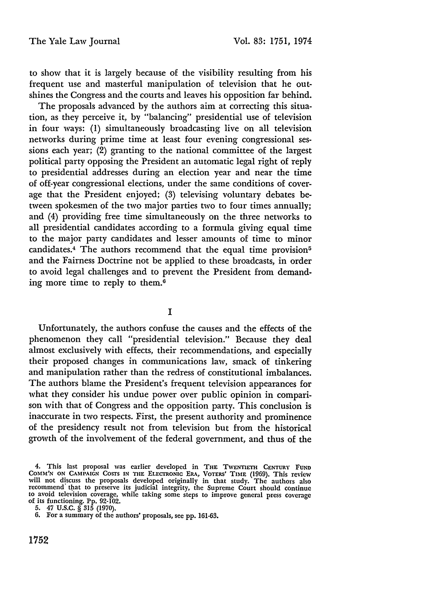to show that it is largely because of the visibility resulting from his frequent use and masterful manipulation of television that he outshines the Congress and the courts and leaves his opposition far behind.

The proposals advanced by the authors aim at correcting this situation, as they perceive it, by "balancing" presidential use of television in four ways: (1) simultaneously broadcasting live on all television networks during prime time at least four evening congressional sessions each year; (2) granting to the national committee of the largest political party opposing the President an automatic legal right of reply to presidential addresses during an election year and near the time of off-year congressional elections, under the same conditions of coverage that the President enjoyed; (3) televising voluntary debates between spokesmen of the two major parties two to four times annually; and (4) providing free time simultaneously on the three networks to all presidential candidates according to a formula giving equal time to the major party candidates and lesser amounts of time to minor candidates.<sup>4</sup> The authors recommend that the equal time provision<sup>5</sup> and the Fairness Doctrine not be applied to these broadcasts, in order to avoid legal challenges and to prevent the President from demanding more time to reply to them. $6$ 

 $\mathbf I$ 

Unfortunately, the authors confuse the causes and the effects of the phenomenon they call "presidential television." Because they deal almost exclusively with effects, their recommendations, and especially their proposed changes in communications law, smack of tinkering and manipulation rather than the redress of constitutional imbalances. The authors blame the President's frequent television appearances for what they consider his undue power over public opinion in comparison with that of Congress and the opposition party. This conclusion is inaccurate in two respects. First, the present authority and prominence of the presidency result not from television but from the historical growth of the involvement of the federal government, and thus of the

<sup>4.</sup> This last proposal was earlier developed in THE **TWENTIETH CENTURY FUND COMM'N ON CAMPAIGN CoSTs IN THE ELECTRONIC ERA, VoTERS' TIME (1969).** This review will not discuss the proposals developed originally in that study. The authors also recommend that to preserve its judicial integrity, the Supreme Court should continue to avoid television coverage, while taking some steps to improve general press coverage of its functioning. **Pp.** 92-102. **5.** 47 **U.S.C.** § **315 (1970).**

**<sup>6.</sup>** For a summary of the authors' proposals, see **pp. 161-63.**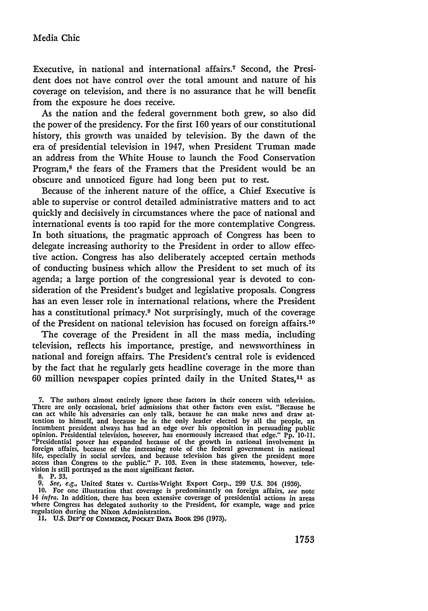## Media Chic

Executive, in national and international affairs.7 Second, the President does not have control over the total amount and nature of his coverage on television, and there is no assurance that he will benefit from the exposure he does receive.

As the nation and the federal government both grew, so also did the power of the presidency. For the first 160 years of our constitutional history, this growth was unaided by television. By the dawn of the era of presidential television in 1947, when President Truman made an address from the White House to launch the Food Conservation Program,8 the fears of the Framers that the President would be an obscure and unnoticed figure had long been put to rest.

Because of the inherent nature of the office, a Chief Executive is able to supervise or control detailed administrative matters and to act quickly and decisively in circumstances where the pace of national and international events is too rapid for the more contemplative Congress. In both situations, the pragmatic approach of Congress has been to delegate increasing authority to the President in order to allow effective action. Congress has also deliberately accepted certain methods of conducting business which allow the President to set much of its agenda; a large portion of the congressional year is devoted to consideration of the President's budget and legislative proposals. Congress has an even lesser role in international relations, where the President has a constitutional primacy.9 Not surprisingly, much of the coverage of the President on national television has focused on foreign affairs. <sup>10</sup>

The coverage of the President in all the mass media, including television, reflects his importance, prestige, and newsworthiness in national and foreign affairs. The President's central role is evidenced by the fact that he regularly gets headline coverage in the more than 60 million newspaper copies printed daily in the United States,<sup>11</sup> as

**8.** P. **33.**

9. See, e.g., United States v. Curtiss-Wright Export Corp., 299 **U.S.** 304 (1936).

**10.** For one illustration that coverage is predominantly on foreign affairs, see note <sup>14</sup>infra. In addition, there has been extensive coverage of presidential actions in areas where Congress has delegated authority to the President, for example, wage and price regulation during the Nixon Administration.

11. U.S. DEP'T OF COMMERCE, POCKET DATA BOOK 296 (1973).

<sup>7.</sup> The authors almost entirely ignore these factors in their concern with television. There are only occasional, brief admissions that other factors even exist. "Because he There are only occasional, brief admissions that other factors even exist. "Because he can act while his adversaries can only talk, because he can make news and draw attention to himself, and because he is the only leader elected by all the people, an incumbent president always has had an edge over his opposition in persuading public opinion. Presidential television, however, has enormously increased that edge." Pp. 10-11. "Presidential power has expanded because of the growth in national involvement in foreign affairs, because of the increasing role of the federal government in national<br>life, especially in social services, and because television has given the president more<br>access than Congress to the public." P. 103. Ev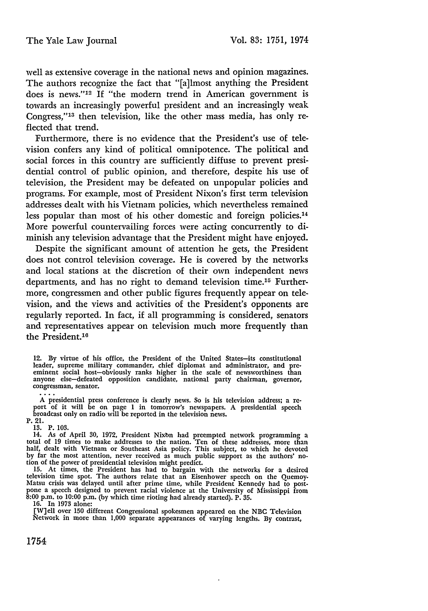well as extensive coverage in the national news and opinion magazines. The authors recognize the fact that "[a]lmost anything the President does is news."<sup>12</sup> If "the modern trend in American government is towards an increasingly powerful president and an increasingly weak Congress,"<sup>13</sup> then television, like the other mass media, has only reflected that trend.

Furthermore, there is no evidence that the President's use of television confers any kind of political omnipotence. The political and social forces in this country are sufficiently diffuse to prevent presidential control of public opinion, and therefore, despite his use of television, the President may be defeated on unpopular policies and programs. For example, most of President Nixon's first term television addresses dealt with his Vietnam policies, which nevertheless remained less popular than most of his other domestic and foreign policies.<sup>14</sup> More powerful countervailing forces were acting concurrently to diminish any television advantage that the President might have enjoyed.

Despite the significant amount of attention he gets, the President does not control television coverage. He is covered **by** the networks and local stations at the discretion of their own independent news departments, and has no right to demand television time.<sup>15</sup> Furthermore, congressmen and other public figures frequently appear on television, and the views and activities of the President's opponents are regularly reported. In fact, if all programming is considered, senators and representatives appear on television much more frequently than the President.<sup>16</sup>

12. **By** virtue of his office, the President of the United States-its constitutional leader, supreme military commander, chief diplomat and administrator, and preeminent social host-obviously ranks higher in the scale of newsworthiness than anyone else-defeated opposition candidate, national party chairman, governor, congressman, senator.

**A.** ,presidential press conference is clearly news. So is his television address, a re- port of it will be on page **1** in tomorrow's newspapers. **A** presidential speech  $\overline{\text{b}}$ roadcast only on radio will be reported in the television news.

P. 21. **13.** P. **103.** 14. As of April **30, 1972,** President Nixbn had preempted network programming a total of **19** times to make addresses to the nation. Ten of these addresses, more than half, dealt with Vietnam or Southeast Asia policy. This subject, to which he devoted **by the most attention, never received as much public support as the authors' no-** half, dealt with Vietnam or Southeast Asia policy. This subject, to which he devoted by far the most attention, never received as much publ

15. At times, the President has had to bargain with the networks for a desired television time spot. The authors relate that an Eisenhower speech on the Quemoy-<br>Matsu crisis was delayed until after prime time, while Presid pone a speech designed to prevent racial violence at the University of Mississippi from **8:00** p.m. to **10:00** p.m. **(by** which time rioting had already started). P. **35.**

**16.** In **1973** alone:

[W]ell over **150** different Congressional spokesmen appeared on the **NBC** Television Network in more than **1,000** separate appearances of varying lengths. **By** contrast,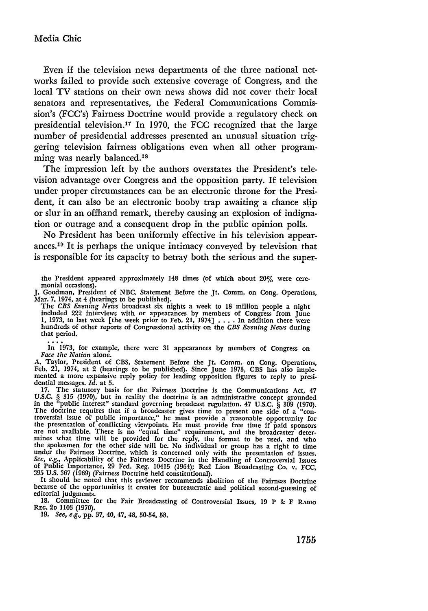Even if the television news departments of the three national networks failed to provide such extensive coverage of Congress, and the local TV stations on their own news shows did not cover their local senators and representatives, the Federal Communications Commission's (FCC's) Fairness Doctrine would provide a regulatory check on presidential television. 17 In 1970, the FCC recognized that the large number of presidential addresses presented an unusual situation triggering television fairness obligations even when all other programming was nearly balanced.<sup>18</sup>

The impression left by the authors overstates the President's television advantage over Congress and the opposition party. If television under proper circumstances can be an electronic throne for the President, it can also be an electronic booby trap awaiting a chance slip or slur in an offhand remark, thereby causing an explosion of indignation or outrage and a consequent drop in the public opinion polls.

No President has been uniformly effective in his television appearances.<sup>19</sup> It is perhaps the unique intimacy conveyed by television that is responsible for its capacity to betray both the serious and the super-

the President appeared approximately 148 times (of which about 20% were ceremonial occasions).

**J.** Goodman, President of NBC, Statement Before the Jt. Comm. on Cong. Operations, Mar. 7, 1974, at 4 (hearings to be published). The *CBS Evening News* broadcast six nights a week to 18 million people a night

included 222 interviews with or appearances by members of Congress from June<br>1, 1973, to last week [the week prior to Feb. 21, 1974] . . . . In addition there were<br>hundreds of other reports of Congressional activity on the that period.

In 1973, for example, there were 31 appearances by members of Congress on *Face the Nation* alone.

A. Taylor, President of CBS, Statement Before the Jt. Comm. on Cong. Operations, Feb. 21, 1974, at 2 (hearings to be published). Since June **1973, CBS** has also implemented a more expansive reply policy for leading opposition figures to reply to presidential messages. *Id.* at 5.<br>17. The statutory basis for the Fairness Doctrine is the Communications Act, 47

17. The statutory basis for the Fairness Doctrine is the Communications Act, 47 U.S.C. § **315** (1970), but in reality the doctrine is an administrative concept grounded in the "public interest" standard governing broadcast regulation. 47 U.S.C. § **309** (1970). The doctrine requires that if a broadcaster gives time to present one side of a "controversial issue of public importance," he must provide a reasonable opportunity for the presentation of conflicting viewpoints. He must provide free time if paid sponsors are not available. There is no "equal time" requirement, and the broadcaster determines what time will be provided for the reply, the format to be used, and who the spokesmen for the other side will be. No individual or group has a right to time under the Fairness Doctrine, which is concerned only with the presentation of issues.<br>See, e.g., Applicability of the Fairness Doctrine in the Handling of Controversial Issues<br>of Public Importance, 29 Fed. Reg. 10415 (1964

395 U.S. 367 (1969) (Fairness Doctrine held constitutional).<br>It should be noted that this reviewer recommends abolition of the Fairness Doctrine<br>because of the opportunities it creates for bureaucratic and political second

**18.** Committee for the Fair Broadcasting of Controversial Issues, **19** P **&-** F RADIo REG. **2D 1103 (1970).**

*19. See, e.g.,* **pp.** 37, 40, 47, 48, 50-54, **58.**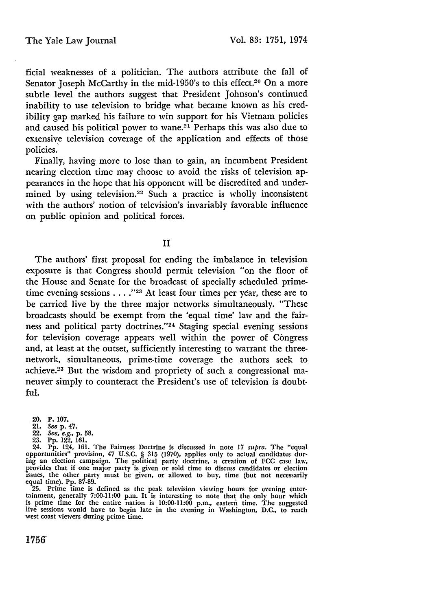ficial weaknesses of a politician. The authors attribute the fall of Senator Joseph McCarthy in the mid-1950's to this effect.<sup>20</sup> On a more subtle level the authors suggest that President Johnson's continued inability to use television to bridge what became known as his credibility gap marked his failure to win support for his Vietnam policies and caused his political power to wane.<sup>21</sup> Perhaps this was also due to extensive television coverage of the application and effects of those policies.

Finally, having more to lose than to gain, an incumbent President nearing election time may choose to avoid the risks of television appearances in the hope that his opponent will be discredited and undermined by using television.<sup>22</sup> Such a practice is wholly inconsistent with the authors' notion of television's invariably favorable influence on public opinion and political forces.

II

The authors' first proposal for ending the imbalance in television exposure is that Congress should permit television "on the floor of the House and Senate for the broadcast of specially scheduled primetime evening sessions . . . . "<sup>23</sup> At least four times per year, these are to be carried live by the three major networks simultaneously. "These broadcasts should be exempt from the 'equal time' law and the fairness and political party doctrines."<sup>24</sup> Staging special evening sessions for television coverage appears well within the power of Congress and, at least at the outset, sufficiently interesting to warrant the threenetwork, simultaneous, prime-time coverage the authors seek to achieve.<sup>25</sup> But the wisdom and propriety of such a congressional maneuver simply to counteract the President's use of television is doubtful.

20. P. **107.**

- 21. See **p.** 47.
- 22. See, e.g., p. **58.**
- 

23. Pp. 122, 161.<br>24. Pp. 124, 161. The Fairness Doctrine is discussed in note 17 *supra*. The "equal<br>opportunities" provision, 47 U.S.C. § 315 (1970), applies only to actual candidates during an election campaign. The political party doctrine, a creation of **FCC** case law, provides that if one major party is given or sold time to discuss candidates or election issues, the other party must be given, or allowed to buy, time (but not necessarily equal time). **Pp.** 87-89.

<sup>25</sup>. Prime time is defined as the peak television viewing hours for evening enter-<br>tainment, generally 7:00-11:00 p.m. It is interesting to note that the only hour which is prime time for the entire nation is 10:00-11:00 p.m., eastern time. The suggested<br>live sessions would have to begin late in the evening in Washington, D.C., to reach west coast viewers during prime time.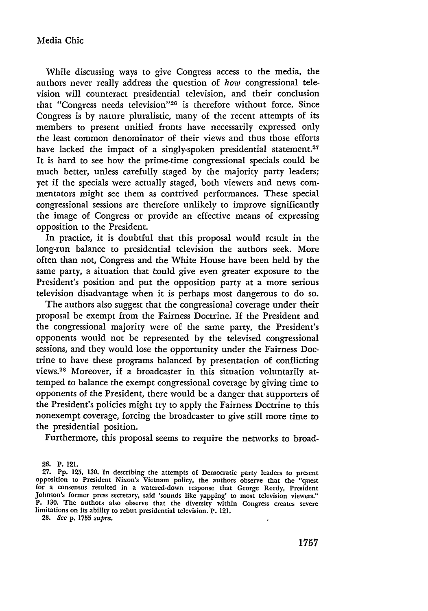While discussing ways to give Congress access to the media, the authors never really address the question of *how* congressional television will counteract presidential television, and their conclusion that "Congress needs television"<sup>26</sup> is therefore without force. Since Congress is by nature pluralistic, many of the recent attempts of its members to present unified fronts have necessarily expressed only the least common denominator of their views and thus those efforts have lacked the impact of a singly-spoken presidential statement.<sup>27</sup> It is hard to see how the prime-time congressional specials could be much better, unless carefully staged by the majority party leaders; yet if the specials were actually staged, both viewers and news commentators might see them as contrived performances. These special congressional sessions are therefore unlikely to improve significantly the image of Congress or provide an effective means of expressing opposition to the President.

In practice, it is doubtful that this proposal would result in the long-run balance to presidential television the authors seek. More often than not, Congress and the White House have been held by the same party, a situation that tould give even greater exposure to the President's position and put the opposition party at a more serious television disadvantage when it is perhaps most dangerous to do so.

The authors also suggest that the congressional coverage under their proposal be exempt from the Fairness Doctrine. If the President and the congressional majority were of the same party, the President's opponents would not be represented by the televised congressional sessions, and they would lose the opportunity under the Fairness Doctrine to have these programs balanced by presentation of conflicting views.20 Moreover, if a broadcaster in this situation voluntarily attemped to balance the exempt congressional coverage by giving time to opponents of the President, there would be a danger that supporters of the President's policies might try to apply the Fairness Doctrine to this nonexempt coverage, forcing the broadcaster to give still more time to the presidential position.

Furthermore, this proposal seems to require the networks to broad-

*28.* See **p. 1755** supra.

**<sup>26.</sup>** P. 121.

**<sup>27.</sup> Pp. 125, 130.** In describing the attempts of Democratic party leaders to present opposition to President Nixon's Vietnam policy, the authors observe that the "quest for a consensus resulted in a watered-down response that George Reedy, President Johnson's former press secretary, said 'sounds like yapping' to most television viewers." P. 130. The authors also observe that the diversity within Congress creates severe limitations on its ability to rebut presidential television. P. 121.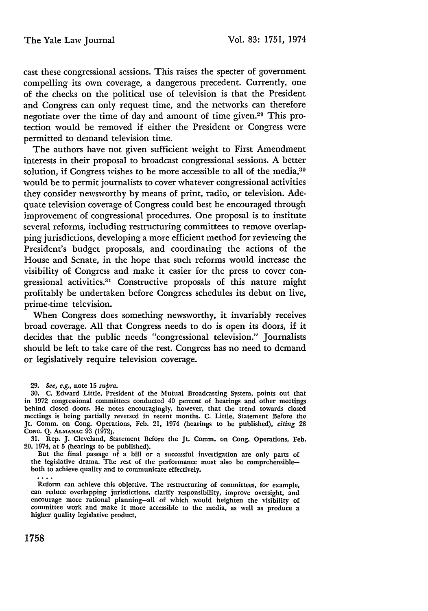cast these congressional sessions. This raises the specter of government compelling its own coverage, a dangerous precedent. Currently, one of the checks on the political use of television is that the President and Congress can only request time, and the networks can therefore negotiate over the time of day and amount of time given.<sup>29</sup> This protection would be removed if either the President or Congress were permitted to demand television time.

The authors have not given sufficient weight to First Amendment interests in their proposal to broadcast congressional sessions. A better solution, if Congress wishes to be more accessible to all of the media,<sup>30</sup> would be to permit journalists to cover whatever congressional activities they consider newsworthy by means of print, radio, or television. Adequate television coverage of Congress could best be encouraged through improvement of congressional procedures. One proposal is to institute several reforms, including restructuring committees to remove overlapping jurisdictions, developing a more efficient method for reviewing the President's budget proposals, and coordinating the actions of the House and Senate, in the hope that such reforms would increase the visibility of Congress and make it easier for the press to cover congressional activities.<sup>31</sup> Constructive proposals of this nature might profitably be undertaken before Congress schedules its debut on live, prime-time television.

When Congress does something newsworthy, it invariably receives broad coverage. All that Congress needs to do is open its doors, if it decides that the public needs "congressional television." Journalists should be left to take care of the rest. Congress has no need to demand or legislatively require television coverage.

**29.** *See, e.g.,* note **15** *supra.*

**30. C.** Edward Little, President of the Mutual Broadcasting System, points out that in 1972 congressional committees conducted 40 percent of hearings and other meetings behind closed doors. He notes encouragingly, however, that the trend towards closed meetings is being partially reversed in recent months. **C.** Little, Statement Before the Jt. Comm. on Cong. Operations, Feb. 21, 1974 (hearings to be published), *citing* **28 CONG.** Q. **ALMANAC** 93 (1972).

**31.** Rep. J. Cleveland, Statement Before the Jt. Comm. on Cong. Operations, **Feb.** 20, 1974, at **5** (hearings to be published).

But the final passage of a bill or a successful investigation are only parts of the legislative drama. The rest of the performance must also **be** comprehensibleboth to achieve quality and to communicate effectively.

Reform can achieve this objective. The restructuring of committees, for example, can reduce overlapping jurisdictions, clarify responsibility, improve oversight, and encourage more rational planning-all of which would heighten the visibility of committee work and make it more accessible to the media, as well as produce a higher quality legislative product.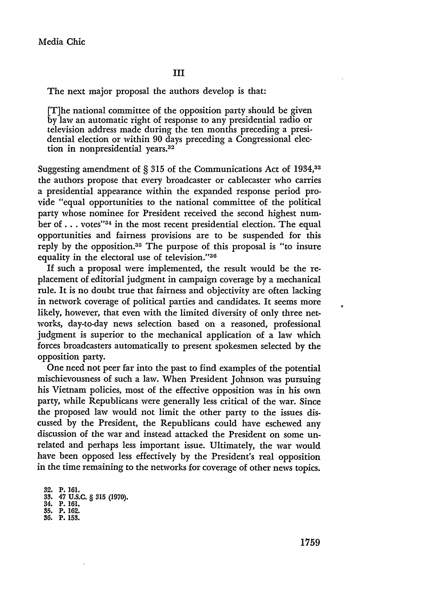Media Chic

The next major proposal the authors develop is that:

[T]he national committee of the opposition party should be given by law an automatic right of response to any presidential radio or television address made during the ten months preceding a presidential election or within **90** days preceding a Congressional election in nonpresidential years. <sup>32</sup>

Suggesting amendment of § **315** of the Communications Act of **1934,<sup>33</sup>** the authors propose that every broadcaster or cablecaster who carries a presidential appearance within the expanded response period provide "equal opportunities to the national committee of the political party whose nominee for President received the second highest number of **...** votes"34 in the most recent presidential election. The equal opportunities and fairness provisions are to be suspended for this reply by the opposition.35 The purpose of this proposal is "to insure equality in the electoral use of television."36

If such a proposal were implemented, the result would be the replacement of editorial judgment in campaign coverage by a mechanical rule. It is no doubt true that fairness and objectivity are often lacking in network coverage of political parties and candidates. It seems more likely, however, that even with the limited diversity of only three networks, day-to-day news selection based on a reasoned, professional judgment is superior to the mechanical application of a law which forces broadcasters automatically to present spokesmen selected by the opposition party.

One need not peer far into the past to find examples of the potential mischievousness of such a law. When President Johnson was pursuing his Vietnam policies, most of the effective opposition was in his own party, while Republicans were generally less critical of the war. Since the proposed law would not limit the other party to the issues discussed by the President, the Republicans could have eschewed any discussion of the war and instead attacked the President on some unrelated and perhaps less important issue. Ultimately, the war would have been opposed less effectively by the President's real opposition in the time remaining to the networks for coverage of other news topics.

<sup>32.</sup> P. **161. 33.** 47 **U.S.C.** § **315 (1970). 34.** P. 161.

**<sup>35.</sup>** P. **162.**

**<sup>36.</sup>** P. **153.**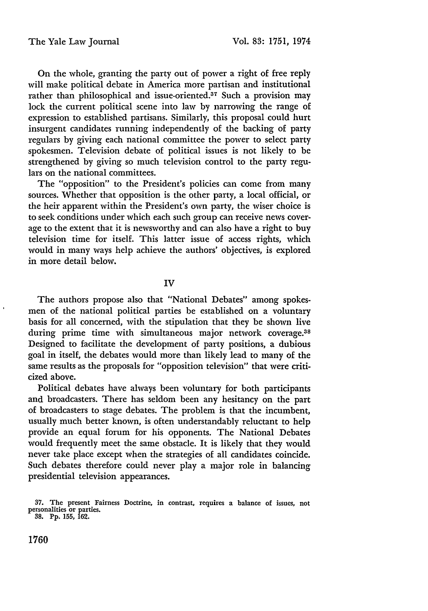On the whole, granting the party out of power a right of free reply will make political debate in America more partisan and institutional rather than philosophical and issue-oriented.<sup>37</sup> Such a provision may lock the current political scene into law by narrowing the range of expression to established partisans. Similarly, this proposal could hurt insurgent candidates running independently of the backing of party regulars by giving each national committee the power to select party spokesmen. Television debate of political issues is not likely to be strengthened by giving so much television control to the party regulars on the national committees.

The "opposition" to the President's policies can come from many sources. Whether that opposition is the other party, a local official, or the heir apparent within the President's own party, the wiser choice is to seek conditions under which each such group can receive news coverage to the extent that it is newsworthy and can also have a right to buy television time for itself. This latter issue of access rights, which would in many ways help achieve the authors' objectives, is explored in more detail below.

IV

The authors propose also that "National Debates" among spokesmen of the national political parties be established on a voluntary basis for all concerned, with the stipulation that they be shown live during prime time with simultaneous major network coverage.<sup>38</sup> Designed to facilitate the development of party positions, a dubious goal in itself, the debates would more than likely lead to many of the same results as the proposals for "opposition television" that were criticized above.

Political debates have always been voluntary for both participants and broadcasters. There has seldom been any hesitancy on the part of broadcasters to stage debates. The problem is that the incumbent, usually much better known, is often understandably reluctant to help provide an equal forum for his opponents. The National Debates would frequently meet the same obstacle. It is likely that they would never take place except when the strategies of all candidates coincide. Such debates therefore could never play a major role in balancing presidential television appearances.

**<sup>37.</sup>** The present Fairness Doctrine, in contrast, requires a balance of issues, not personalities or parties. **38. Pp.** 155, 162.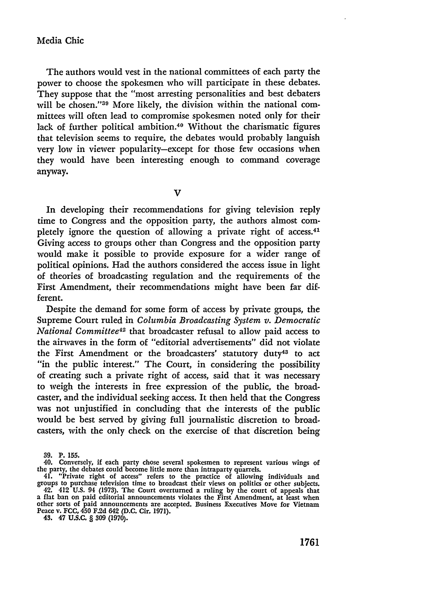The authors would vest in the national committees of each party the power to choose the spokesmen who will participate in these debates. They suppose that the "most arresting personalities and best debaters will be chosen."<sup>39</sup> More likely, the division within the national committees will often lead to compromise spokesmen noted only for their lack of further political ambition.<sup>40</sup> Without the charismatic figures that television seems to require, the debates would probably languish very low in viewer popularity-except for those few occasions when they would have been interesting enough to command coverage anyway.

 $\overline{\mathbf{v}}$ 

In developing their recommendations for giving television reply time to Congress and the opposition party, the authors almost completely ignore the question of allowing a private right of access.<sup>41</sup> Giving access to groups other than Congress and the opposition party would make it possible to provide exposure for a wider range of political opinions. Had the authors considered the access issue in light of theories of broadcasting regulation and the requirements of the First Amendment, their recommendations might have been far different.

Despite the demand for some form of access by private groups, the Supreme Court ruled in *Columbia Broadcasting System v. Democratic National Committee42* that broadcaster refusal to allow paid access to the airwaves in the form of "editorial advertisements" did not violate the First Amendment or the broadcasters' statutory duty43 to act "in the public interest." The Court, in considering the possibility of creating such a private right of access, said that it was necessary to weigh the interests in free expression of the public, the broadcaster, and the individual seeking access. It then held that the Congress was not unjustified in concluding that the interests of the public would be best served by giving full journalistic discretion to broadcasters, with the only check on the exercise of that discretion being

43. 47 **U.S.C. § 309 (1970).**

**<sup>39.</sup>** P. **155.**

<sup>40.</sup> Conversely, if each party chose several spokesmen to represent various wings of the party, the debates could become little more than intraparty quarrels. 41. "Private right of access" refers to the practice of allowing individuals and

groups to purchase television time to broadcast their views on politics or other subjects.

<sup>42. 412</sup> U.S. 94 (1973). The Court overturned a ruling by the court of appeals that a flat ban on paid editorial announcements violates the First Amendment, at least when other sorts of paid announcements are accepted. Business Executives Move for Vietnam Peace v. **FCC,** 450 **F.2d** 642 **(D.C.** Cir. 1971).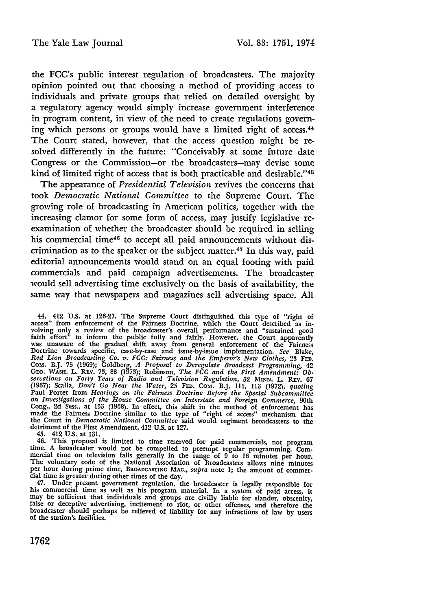the FCC's public interest regulation of broadcasters. The majority opinion pointed out that choosing a method of providing access to individuals and private groups that relied on detailed oversight **by** a regulatory agency would simply increase government interference in program content, in view of the need to create regulations governing which persons or groups would have a limited right of access.<sup>44</sup> The Court stated, however, that the access question might **be** resolved differently in the future: "Conceivably at some future date Congress or the Commission-or the broadcasters-may devise some kind of limited right of access that is both practicable and desirable."<sup>45</sup>

The appearance of *Presidential Television* revives the concerns that took *Democratic National Committee* to the Supreme Court. The growing role of broadcasting in American politics, together with the increasing clamor for some form of access, may justify legislative **re**examination of whether the broadcaster should be required in selling his commercial time<sup>46</sup> to accept all paid announcements without discrimination as to the speaker or the subject matter. $47$  In this way, paid editorial announcements would stand on an equal footing with paid commercials and paid campaign advertisements. The broadcaster would sell advertising time exclusively on the basis of availability, the same way that newspapers and magazines sell advertising space. **All**

44. 412 U.S. at 126-27. The Supreme Court distinguished this type of "right of access" from enforcement of the Fairness Doctrine, which the Court described as involving only a review of the broadcaster's overall performanc faith effort" to inform the public fully and fairly. However, the Court apparently was unaware of the gradual shift away from general enforcement of the Fairness Doctrine towards specific, case-by-case and issue-by-issue implementation. *See* Blake, *Red Lion Broadcasting Co. v. FCC: Fairness and the Emperor's New Clothes,* 23 **FED.** Com. B.J. **75** (1969); Goldberg. *A Proposal to Deregulate Broadcast Programming,* 42 GEO. WASH. L. REV. 73, 88 (1973); Robinson, The FCC and the First Amendment; Ob-<br>servations on Forty Years of Radio and Television Regulation, 52 MINN. L. REV. 67<br>(1967); Scalia, Don't Go Near the Water, 25 FED. COM. B.J. Paul Porter from *Hearings on the Fairness Doctrine Before the Special Subcommittee on Investigations of the House Committee on Interstate and Foreign Commerce,* 90th Cong., 2d Sess., at **153** (1968). In effect, this shift in the method of enforcement has made the Fairness Doctrine similar to the type of "right of access" mechanism that the Court in *Democratic National Committee* said would regiment broadcasters to the detriment of the First Amendment. 412 U.S. at 127.

45. 412 U.S. at 131.

46. This proposal is limited to time reserved for paid commercials, not program time. **A** broadcaster would not be compelled to preempt regular programming. Commercial time on television falls generally in the range of 9 to 16 minutes per hour. The voluntary code of the National Association of Broadcasters allows nine minutes The contract of the contract in the mount of the mount of commer-<br>per hour during prime time, BROADCASTING MAG, *supra* note 1; the amount of commer-<br>cial time is greater during other times of the day.<br>47. Under present go

his commercial time as well as his program material. In a system of paid access, it<br>may be sufficient that individuals and groups are civilly liable for slander, obscenity,<br>false or deceptive advertising, incitement to rio broadcaster should perhaps be relieved of liability for any infractions of law by users of the station's facilities.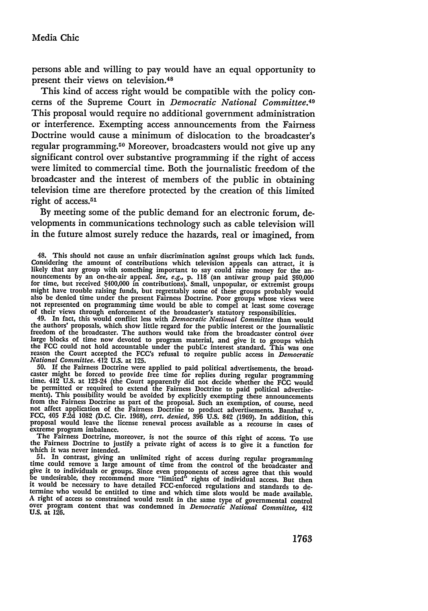persons able and willing to pay would have an equal opportunity to present their views on television.<sup>48</sup>

This kind of access right would be compatible with the policy concerns of the Supreme Court in *Democratic National Committee.49* This proposal would require no additional government administration or interference. Exempting access announcements from the Fairness Doctrine would cause a minimum of dislocation to the broadcaster's regular programming.<sup>50</sup> Moreover, broadcasters would not give up any significant control over substantive programming if the right of access were limited to commercial time. Both the journalistic freedom of the broadcaster and the interest of members of the public in obtaining television time are therefore protected by the creation of this limited right of access.<sup>51</sup>

By meeting some of the public demand for an electronic forum, developments in communications technology such as cable television will in the future almost surely reduce the hazards, real or imagined, from

48. This should not cause an unfair discrimination against groups which lack funds. Considering the amount of contributions which television appeals can attract, it is likely that any group with something important to say could raise money for the an-<br>nouncements by an on-the-air appeal. See, e.g., p. 118 (an antiwar group paid \$60,000<br>for time, but received \$400,000 in contributions). S also be denied time under the present Fairness Doctrine. Poor groups whose views were<br>not represented on programming time would be able to compel at least some coverage<br>of their views through enforcement of the broadcaster

the authors' proposals, which show little regard for the public interest or the journalistic<br>freedom of the broadcaster. The authors would take from the broadcaster control over<br>large blocks of time now devoted to program the **FCC** could not hold accountable under the publ:c interest standard. This was one reason the Court accepted the FCC's refusal to require public access in *Democratic National Committee.* 412 U.S. at 125.

50. If the Fairness Doctrine were applied to paid political advertisements, the broadcaster might be forced to provide free time for replies during regular programming time. 412 U.S. at 123-24 (the Court apparently did not decide whether the **FCC** would be permitted or required to extend the Fairness Doctrine to paid political advertisements). This possibility would be avoided by explicitly exempting these announcements from the Fairness Doctrine as part of the proposal. Such an exemption, of course, need not affect application of the Fairness Doctrine to product advertisements. Banzhaf v.<br>FCC, 405 F.2d 1082 (D.C. Cir. 1968), *cert. denied*, 396 U.S. 842 (1969). In addition, this proposal would leave the license renewal process available as a recourse in cases of extreme program imbalance.

The Fairness Doctrine, moreover, is not the source of this right of access. To use the Fairness Doctrine to justify a private right of access is to give it a function for which it was never intended.

51. In contrast, giving an unlimited right of access during regular programming time could remove a large amount of time from the control of the broadcaster and give it to individuals or groups. Since even proponents of access agree that this would<br>be undesirable, they recommend more "limited" rights of individual access. But then it would be necessary to have detailed FCC-enforced regulations and standards to determine who would be entitled to time and which time slots would be made available. A right of access so constrained would result in the same type of governmental control<br>over program content that was condemned in *Democratic National Committee,* **412** over program content that was condemned in *Democratic National Committee*, 412<br>U.S. at 126.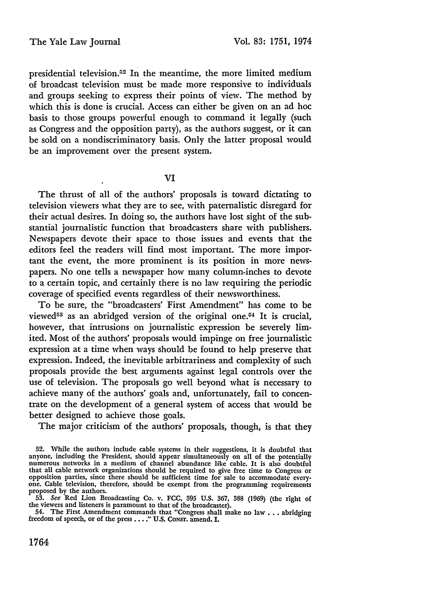presidential television.<sup>52</sup> In the meantime, the more limited medium of broadcast television must be made more responsive to individuals and groups seeking to express their points of view. The method by which this is done is crucial. Access can either be given on an ad hoc basis to those groups powerful enough to command it legally (such as Congress and the opposition party), as the authors suggest, or it can be sold on a nondiscriminatory basis. Only the latter proposal would be an improvement over the present system.

VI

The thrust of all of the authors' proposals is toward dictating to television viewers what they are to see, with paternalistic disregard for their actual desires. In doing so, the authors have lost sight of the substantial journalistic function that broadcasters share with publishers. Newspapers devote their space to those issues and events that the editors feel the readers will find most important. The more important the event, the more prominent is its position in more newspapers. No one tells a newspaper how many column-inches to devote to a certain topic, and certainly there is no law requiring the periodic coverage of specified events regardless of their newsworthiness.

To be sure, the "broadcasters' First Amendment" has come to be viewed<sup> $53$ </sup> as an abridged version of the original one.<sup>54</sup> It is crucial, however, that intrusions on journalistic expression be severely limited. Most of the authors' proposals would impinge on free journalistic expression at a time when ways should be found to help preserve that expression. Indeed, the inevitable arbitrariness and complexity of such proposals provide the best arguments against legal controls over the use of television. The proposals go well beyond what is necessary to achieve many of the authors' goals and, unfortunately, fail to concentrate on the development of a general system of access that would be better designed to achieve those goals.

The major criticism of the authors' proposals, though, is that they

 $53.$  See Red Lion Broadcasting Co. v. FCC,  $395$  U.S.  $367.$   $388$  (1969) (the right of the viewers and listeners is paramount to that of the broadcaster).

54. The First Amendment commands that "Congress shall make no law **.** *..* abridging freedom of speech, or of the press **....** U.S. CONST. amend. I.

<sup>52.</sup> While the authors include cable systems in their suggestions, it is doubtful that anyone, including the President, should appear simultaneously on all of the potentially numerous networks in a medium of channel abundance like cable. It is also doubtful that all cable network organizations should be required to give free time to Congress or opposition parties, since there should be sufficient time for sale to accommodate everyone. Cable television, therefore, should be exempt from the programming requirements proposed by the authors.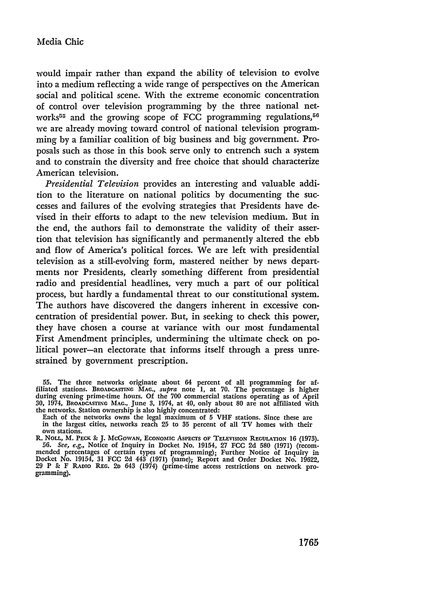would impair rather than expand the ability of television to evolve into a medium reflecting a wide range of perspectives on the American social and political scene. With the extreme economic concentration of control over television programming by the three national networks<sup>55</sup> and the growing scope of FCC programming regulations,<sup>56</sup> we are already moving toward control of national television programming by a familiar coalition of big business and big government. Proposals such as those in this book serve only to entrench such a system and to constrain the diversity and free choice that should characterize American television.

*Presidential Television* provides an interesting and valuable addition to the literature on national politics by documenting the successes and failures of the evolving strategies that Presidents have devised in their efforts to adapt to the new television medium. But in the end, the authors fail to demonstrate the validity of their assertion that television has significantly and permanently altered the ebb and flow of America's political forces. We are left with presidential television as a still-evolving form, mastered neither by news departments nor Presidents, clearly something different from presidential radio and presidential headlines, very much a part of our political process, but hardly a fundamental threat to our constitutional system. The authors have discovered the dangers inherent in excessive concentration of presidential power. But, in seeking to check this power, they have chosen a course at variance with our most fundamental First Amendment principles, undermining the ultimate check on political power-an electorate that informs itself through a press unrestrained by government prescription.

**<sup>55.</sup>** The three networks originate about 64 percent of all programming for affiliated stations. **BROADCASTING MAC.,** *supra* note **1,** at **70.** The percentage is higher during evening prime-time hours. **Of** the **700** commercial stations operating as of April **30,** 1974, **BROADcAsriNG MAG.,** June **3,** 1974, at 40, only about **80** are not affiliated with the networks. Station ownership is also **highly** concentrated:

Each of the networks owns the legal maximum of **5** VHF stations. Since these are in the largest cities, networks reach **25** to **35** percent of all TV homes with their own stations.

R. **NOLL, M.** PECK **& J. NfcGOWAN,** ECONOMIC **ASPECTS OF TELEVISION REGULATION** 16 **(1973). 56.** *See, e.g.,* Notice of Inquiry in Docket No. 19154, **27 FCC 2d 580** (1971) (recommended percentages of certain types of programming); Further Notice of Inquiry in Docket No. 19154, **31 FCC 2d** 443 **(1971)** (same); Report and Order Docket No. **19622, 29** P & F **RADiO REG. 2D** 643 (1974) (prime-time access restrictions on network programming).